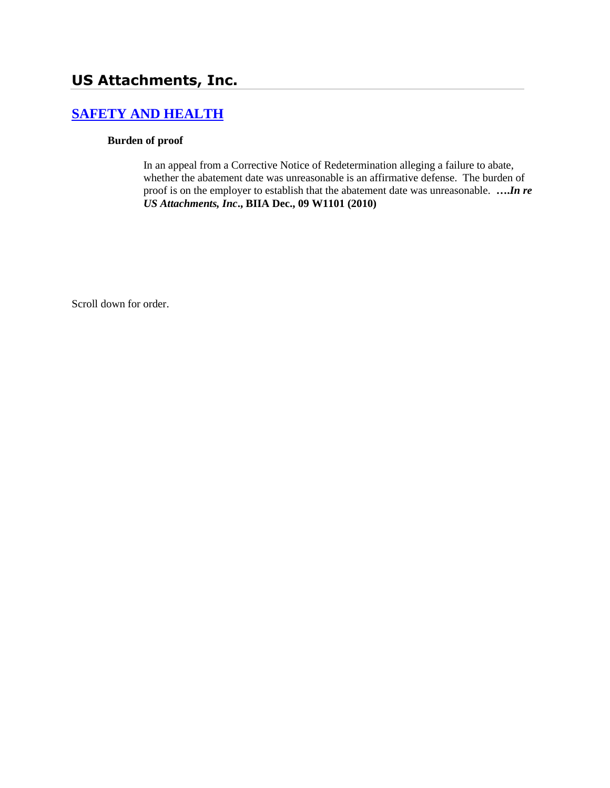# **US Attachments, Inc.**

# **[SAFETY AND HEALTH](http://www.biia.wa.gov/SDSubjectIndex.html#SAFETY_AND_HEALTH)**

#### **Burden of proof**

In an appeal from a Corrective Notice of Redetermination alleging a failure to abate, whether the abatement date was unreasonable is an affirmative defense. The burden of proof is on the employer to establish that the abatement date was unreasonable. **….***In re US Attachments, Inc***., BIIA Dec., 09 W1101 (2010)**

Scroll down for order.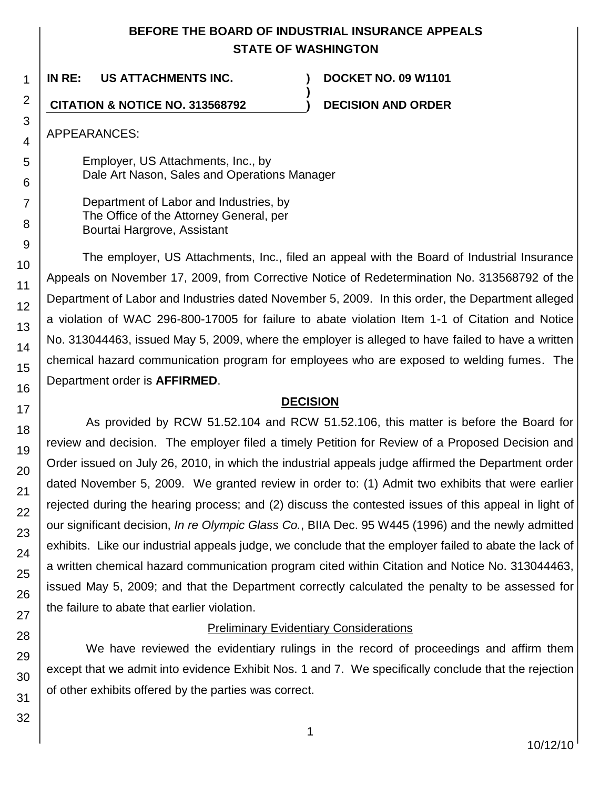## **BEFORE THE BOARD OF INDUSTRIAL INSURANCE APPEALS STATE OF WASHINGTON**

**)**

**IN RE: US ATTACHMENTS INC. ) DOCKET NO. 09 W1101**

**CITATION & NOTICE NO. 313568792 ) DECISION AND ORDER**

APPEARANCES:

Employer, US Attachments, Inc., by Dale Art Nason, Sales and Operations Manager

Department of Labor and Industries, by The Office of the Attorney General, per Bourtai Hargrove, Assistant

The employer, US Attachments, Inc., filed an appeal with the Board of Industrial Insurance Appeals on November 17, 2009, from Corrective Notice of Redetermination No. 313568792 of the Department of Labor and Industries dated November 5, 2009. In this order, the Department alleged a violation of WAC 296-800-17005 for failure to abate violation Item 1-1 of Citation and Notice No. 313044463, issued May 5, 2009, where the employer is alleged to have failed to have a written chemical hazard communication program for employees who are exposed to welding fumes. The Department order is **AFFIRMED**.

## **DECISION**

As provided by RCW 51.52.104 and RCW 51.52.106, this matter is before the Board for review and decision. The employer filed a timely Petition for Review of a Proposed Decision and Order issued on July 26, 2010, in which the industrial appeals judge affirmed the Department order dated November 5, 2009. We granted review in order to: (1) Admit two exhibits that were earlier rejected during the hearing process; and (2) discuss the contested issues of this appeal in light of our significant decision, *In re Olympic Glass Co.*, BIIA Dec. 95 W445 (1996) and the newly admitted exhibits. Like our industrial appeals judge, we conclude that the employer failed to abate the lack of a written chemical hazard communication program cited within Citation and Notice No. 313044463, issued May 5, 2009; and that the Department correctly calculated the penalty to be assessed for the failure to abate that earlier violation.

## **Preliminary Evidentiary Considerations**

We have reviewed the evidentiary rulings in the record of proceedings and affirm them except that we admit into evidence Exhibit Nos. 1 and 7. We specifically conclude that the rejection of other exhibits offered by the parties was correct.

1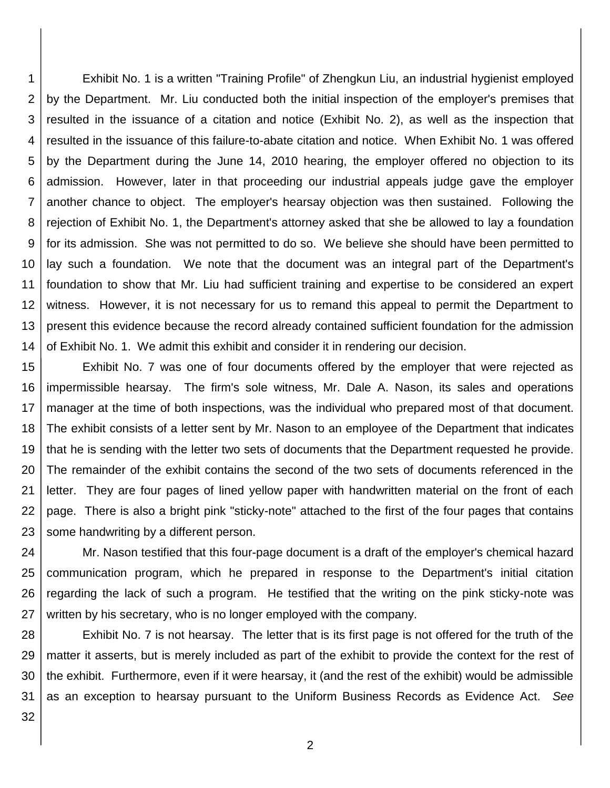1 2 3 4 5 6 7 8 9 10 11 12 13 14 Exhibit No. 1 is a written "Training Profile" of Zhengkun Liu, an industrial hygienist employed by the Department. Mr. Liu conducted both the initial inspection of the employer's premises that resulted in the issuance of a citation and notice (Exhibit No. 2), as well as the inspection that resulted in the issuance of this failure-to-abate citation and notice. When Exhibit No. 1 was offered by the Department during the June 14, 2010 hearing, the employer offered no objection to its admission. However, later in that proceeding our industrial appeals judge gave the employer another chance to object. The employer's hearsay objection was then sustained. Following the rejection of Exhibit No. 1, the Department's attorney asked that she be allowed to lay a foundation for its admission. She was not permitted to do so. We believe she should have been permitted to lay such a foundation. We note that the document was an integral part of the Department's foundation to show that Mr. Liu had sufficient training and expertise to be considered an expert witness. However, it is not necessary for us to remand this appeal to permit the Department to present this evidence because the record already contained sufficient foundation for the admission of Exhibit No. 1. We admit this exhibit and consider it in rendering our decision.

15 16 17 18 19 20 21 22 23 Exhibit No. 7 was one of four documents offered by the employer that were rejected as impermissible hearsay. The firm's sole witness, Mr. Dale A. Nason, its sales and operations manager at the time of both inspections, was the individual who prepared most of that document. The exhibit consists of a letter sent by Mr. Nason to an employee of the Department that indicates that he is sending with the letter two sets of documents that the Department requested he provide. The remainder of the exhibit contains the second of the two sets of documents referenced in the letter. They are four pages of lined yellow paper with handwritten material on the front of each page. There is also a bright pink "sticky-note" attached to the first of the four pages that contains some handwriting by a different person.

24 25 26 27 Mr. Nason testified that this four-page document is a draft of the employer's chemical hazard communication program, which he prepared in response to the Department's initial citation regarding the lack of such a program. He testified that the writing on the pink sticky-note was written by his secretary, who is no longer employed with the company.

28 29 30 31 Exhibit No. 7 is not hearsay. The letter that is its first page is not offered for the truth of the matter it asserts, but is merely included as part of the exhibit to provide the context for the rest of the exhibit. Furthermore, even if it were hearsay, it (and the rest of the exhibit) would be admissible as an exception to hearsay pursuant to the Uniform Business Records as Evidence Act. *See*

32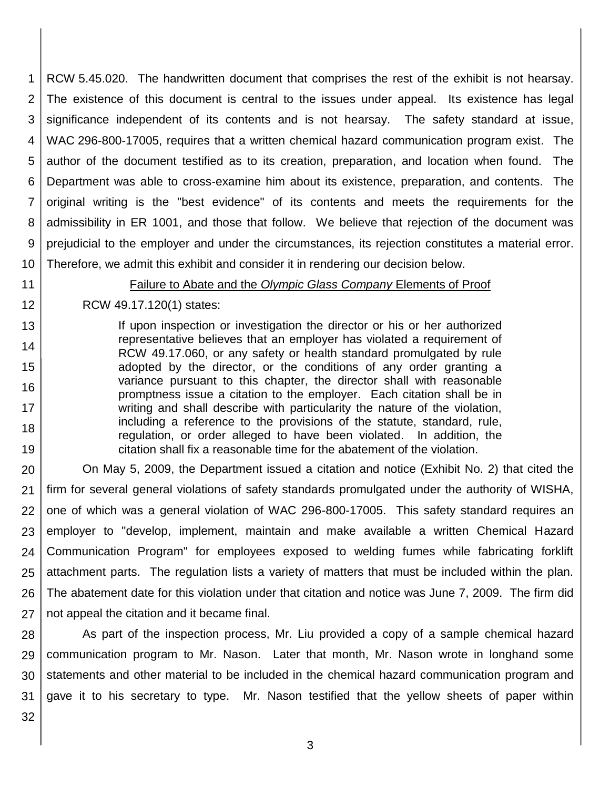1 2 3 4 5 6 7 8 9 10 RCW 5.45.020. The handwritten document that comprises the rest of the exhibit is not hearsay. The existence of this document is central to the issues under appeal. Its existence has legal significance independent of its contents and is not hearsay. The safety standard at issue, WAC 296-800-17005, requires that a written chemical hazard communication program exist. The author of the document testified as to its creation, preparation, and location when found. The Department was able to cross-examine him about its existence, preparation, and contents. The original writing is the "best evidence" of its contents and meets the requirements for the admissibility in ER 1001, and those that follow. We believe that rejection of the document was prejudicial to the employer and under the circumstances, its rejection constitutes a material error. Therefore, we admit this exhibit and consider it in rendering our decision below.

11

12

13

14

15

16

17 18

19

Failure to Abate and the *Olympic Glass Company* Elements of Proof

### RCW 49.17.120(1) states:

If upon inspection or investigation the director or his or her authorized representative believes that an employer has violated a requirement of RCW 49.17.060, or any safety or health standard promulgated by rule adopted by the director, or the conditions of any order granting a variance pursuant to this chapter, the director shall with reasonable promptness issue a citation to the employer. Each citation shall be in writing and shall describe with particularity the nature of the violation, including a reference to the provisions of the statute, standard, rule, regulation, or order alleged to have been violated. In addition, the citation shall fix a reasonable time for the abatement of the violation.

20 21 22 23 24 25 26 27 On May 5, 2009, the Department issued a citation and notice (Exhibit No. 2) that cited the firm for several general violations of safety standards promulgated under the authority of WISHA, one of which was a general violation of WAC 296-800-17005. This safety standard requires an employer to "develop, implement, maintain and make available a written Chemical Hazard Communication Program" for employees exposed to welding fumes while fabricating forklift attachment parts. The regulation lists a variety of matters that must be included within the plan. The abatement date for this violation under that citation and notice was June 7, 2009. The firm did not appeal the citation and it became final.

28 29 30 31 As part of the inspection process, Mr. Liu provided a copy of a sample chemical hazard communication program to Mr. Nason. Later that month, Mr. Nason wrote in longhand some statements and other material to be included in the chemical hazard communication program and gave it to his secretary to type. Mr. Nason testified that the yellow sheets of paper within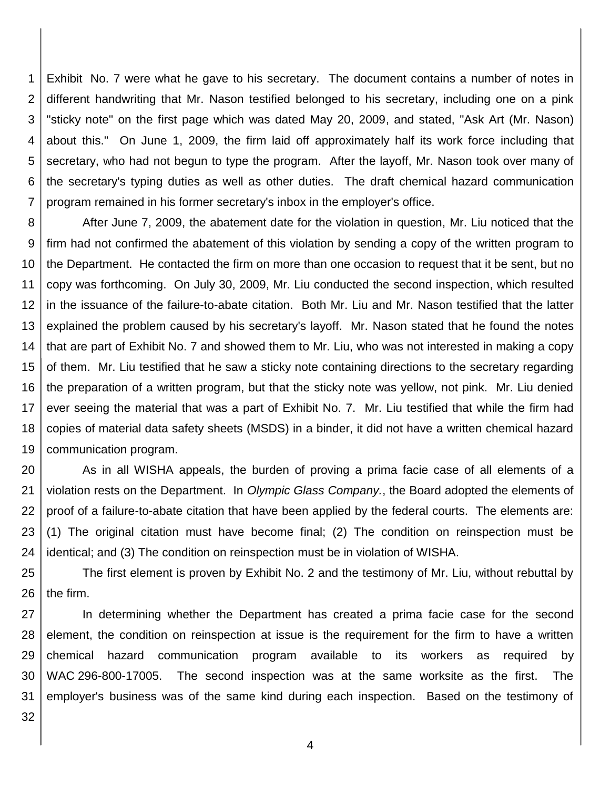1 2 3 4 5 6 7 Exhibit No. 7 were what he gave to his secretary. The document contains a number of notes in different handwriting that Mr. Nason testified belonged to his secretary, including one on a pink "sticky note" on the first page which was dated May 20, 2009, and stated, "Ask Art (Mr. Nason) about this." On June 1, 2009, the firm laid off approximately half its work force including that secretary, who had not begun to type the program. After the layoff, Mr. Nason took over many of the secretary's typing duties as well as other duties. The draft chemical hazard communication program remained in his former secretary's inbox in the employer's office.

8 9 10 11 12 13 14 15 16 17 18 19 After June 7, 2009, the abatement date for the violation in question, Mr. Liu noticed that the firm had not confirmed the abatement of this violation by sending a copy of the written program to the Department. He contacted the firm on more than one occasion to request that it be sent, but no copy was forthcoming. On July 30, 2009, Mr. Liu conducted the second inspection, which resulted in the issuance of the failure-to-abate citation. Both Mr. Liu and Mr. Nason testified that the latter explained the problem caused by his secretary's layoff. Mr. Nason stated that he found the notes that are part of Exhibit No. 7 and showed them to Mr. Liu, who was not interested in making a copy of them. Mr. Liu testified that he saw a sticky note containing directions to the secretary regarding the preparation of a written program, but that the sticky note was yellow, not pink. Mr. Liu denied ever seeing the material that was a part of Exhibit No. 7. Mr. Liu testified that while the firm had copies of material data safety sheets (MSDS) in a binder, it did not have a written chemical hazard communication program.

20 21 22 23 24 As in all WISHA appeals, the burden of proving a prima facie case of all elements of a violation rests on the Department. In *Olympic Glass Company.*, the Board adopted the elements of proof of a failure-to-abate citation that have been applied by the federal courts. The elements are: (1) The original citation must have become final; (2) The condition on reinspection must be identical; and (3) The condition on reinspection must be in violation of WISHA.

25 26 The first element is proven by Exhibit No. 2 and the testimony of Mr. Liu, without rebuttal by the firm.

27 28 29 30 31 In determining whether the Department has created a prima facie case for the second element, the condition on reinspection at issue is the requirement for the firm to have a written chemical hazard communication program available to its workers as required by WAC 296-800-17005. The second inspection was at the same worksite as the first. The employer's business was of the same kind during each inspection. Based on the testimony of

32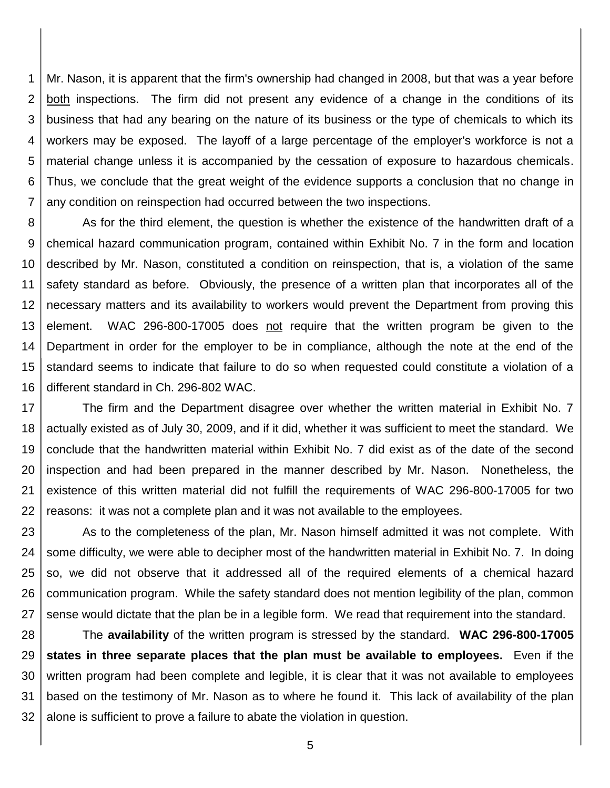1 2 3 4 5 6 7 Mr. Nason, it is apparent that the firm's ownership had changed in 2008, but that was a year before both inspections. The firm did not present any evidence of a change in the conditions of its business that had any bearing on the nature of its business or the type of chemicals to which its workers may be exposed. The layoff of a large percentage of the employer's workforce is not a material change unless it is accompanied by the cessation of exposure to hazardous chemicals. Thus, we conclude that the great weight of the evidence supports a conclusion that no change in any condition on reinspection had occurred between the two inspections.

8 9 10 11 12 13 14 15 16 As for the third element, the question is whether the existence of the handwritten draft of a chemical hazard communication program, contained within Exhibit No. 7 in the form and location described by Mr. Nason, constituted a condition on reinspection, that is, a violation of the same safety standard as before. Obviously, the presence of a written plan that incorporates all of the necessary matters and its availability to workers would prevent the Department from proving this element. WAC 296-800-17005 does not require that the written program be given to the Department in order for the employer to be in compliance, although the note at the end of the standard seems to indicate that failure to do so when requested could constitute a violation of a different standard in Ch. 296-802 WAC.

17 18 19 20 21 22 The firm and the Department disagree over whether the written material in Exhibit No. 7 actually existed as of July 30, 2009, and if it did, whether it was sufficient to meet the standard. We conclude that the handwritten material within Exhibit No. 7 did exist as of the date of the second inspection and had been prepared in the manner described by Mr. Nason. Nonetheless, the existence of this written material did not fulfill the requirements of WAC 296-800-17005 for two reasons: it was not a complete plan and it was not available to the employees.

23 24 25 26 27 As to the completeness of the plan, Mr. Nason himself admitted it was not complete. With some difficulty, we were able to decipher most of the handwritten material in Exhibit No. 7. In doing so, we did not observe that it addressed all of the required elements of a chemical hazard communication program. While the safety standard does not mention legibility of the plan, common sense would dictate that the plan be in a legible form. We read that requirement into the standard.

28 29 30 31 32 The **availability** of the written program is stressed by the standard. **WAC 296-800-17005 states in three separate places that the plan must be available to employees.** Even if the written program had been complete and legible, it is clear that it was not available to employees based on the testimony of Mr. Nason as to where he found it. This lack of availability of the plan alone is sufficient to prove a failure to abate the violation in question.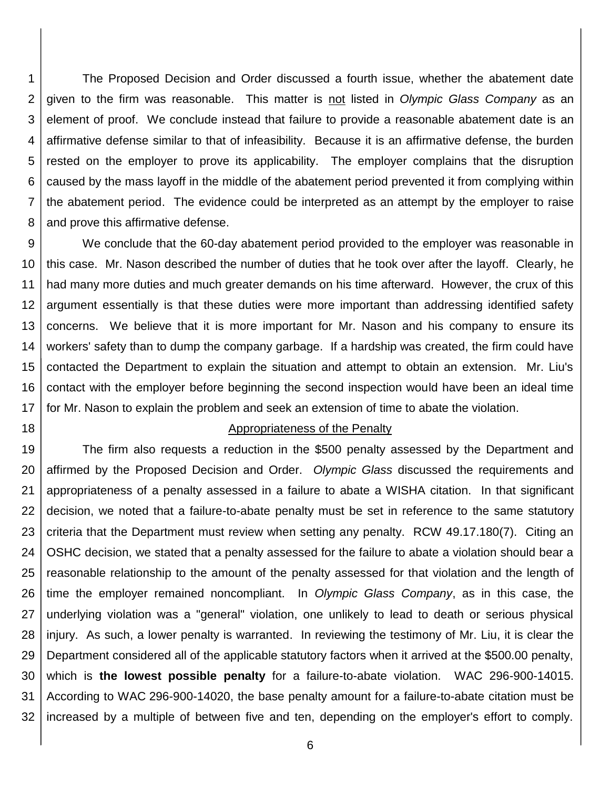1 2 3 4 5 6 7 8 The Proposed Decision and Order discussed a fourth issue, whether the abatement date given to the firm was reasonable. This matter is not listed in *Olympic Glass Company* as an element of proof. We conclude instead that failure to provide a reasonable abatement date is an affirmative defense similar to that of infeasibility. Because it is an affirmative defense, the burden rested on the employer to prove its applicability. The employer complains that the disruption caused by the mass layoff in the middle of the abatement period prevented it from complying within the abatement period. The evidence could be interpreted as an attempt by the employer to raise and prove this affirmative defense.

9 10 11 12 13 14 15 16 17 We conclude that the 60-day abatement period provided to the employer was reasonable in this case. Mr. Nason described the number of duties that he took over after the layoff. Clearly, he had many more duties and much greater demands on his time afterward. However, the crux of this argument essentially is that these duties were more important than addressing identified safety concerns. We believe that it is more important for Mr. Nason and his company to ensure its workers' safety than to dump the company garbage. If a hardship was created, the firm could have contacted the Department to explain the situation and attempt to obtain an extension. Mr. Liu's contact with the employer before beginning the second inspection would have been an ideal time for Mr. Nason to explain the problem and seek an extension of time to abate the violation.

18

#### Appropriateness of the Penalty

19 20 21 22 23 24 25 26 27 28 29 30 31 32 The firm also requests a reduction in the \$500 penalty assessed by the Department and affirmed by the Proposed Decision and Order. *Olympic Glass* discussed the requirements and appropriateness of a penalty assessed in a failure to abate a WISHA citation. In that significant decision, we noted that a failure-to-abate penalty must be set in reference to the same statutory criteria that the Department must review when setting any penalty. RCW 49.17.180(7). Citing an OSHC decision, we stated that a penalty assessed for the failure to abate a violation should bear a reasonable relationship to the amount of the penalty assessed for that violation and the length of time the employer remained noncompliant. In *Olympic Glass Company*, as in this case, the underlying violation was a "general" violation, one unlikely to lead to death or serious physical injury. As such, a lower penalty is warranted. In reviewing the testimony of Mr. Liu, it is clear the Department considered all of the applicable statutory factors when it arrived at the \$500.00 penalty, which is **the lowest possible penalty** for a failure-to-abate violation. WAC 296-900-14015. According to WAC 296-900-14020, the base penalty amount for a failure-to-abate citation must be increased by a multiple of between five and ten, depending on the employer's effort to comply.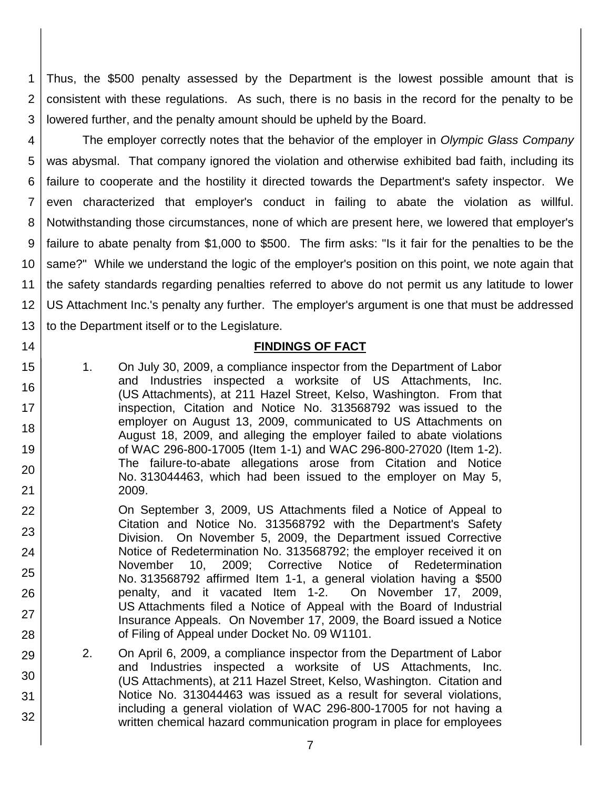1 2 3 Thus, the \$500 penalty assessed by the Department is the lowest possible amount that is consistent with these regulations. As such, there is no basis in the record for the penalty to be lowered further, and the penalty amount should be upheld by the Board.

4 5 6 7 8 9 10 11 12 13 The employer correctly notes that the behavior of the employer in *Olympic Glass Company* was abysmal. That company ignored the violation and otherwise exhibited bad faith, including its failure to cooperate and the hostility it directed towards the Department's safety inspector. We even characterized that employer's conduct in failing to abate the violation as willful. Notwithstanding those circumstances, none of which are present here, we lowered that employer's failure to abate penalty from \$1,000 to \$500. The firm asks: "Is it fair for the penalties to be the same?" While we understand the logic of the employer's position on this point, we note again that the safety standards regarding penalties referred to above do not permit us any latitude to lower US Attachment Inc.'s penalty any further. The employer's argument is one that must be addressed to the Department itself or to the Legislature.

14

15

16

17

18

19

20

21

29

30

31

32

### **FINDINGS OF FACT**

- 1. On July 30, 2009, a compliance inspector from the Department of Labor and Industries inspected a worksite of US Attachments, Inc. (US Attachments), at 211 Hazel Street, Kelso, Washington. From that inspection, Citation and Notice No. 313568792 was issued to the employer on August 13, 2009, communicated to US Attachments on August 18, 2009, and alleging the employer failed to abate violations of WAC 296-800-17005 (Item 1-1) and WAC 296-800-27020 (Item 1-2). The failure-to-abate allegations arose from Citation and Notice No. 313044463, which had been issued to the employer on May 5, 2009.
- 22 23 24 25 26 27 28 On September 3, 2009, US Attachments filed a Notice of Appeal to Citation and Notice No. 313568792 with the Department's Safety Division. On November 5, 2009, the Department issued Corrective Notice of Redetermination No. 313568792; the employer received it on November 10, 2009; Corrective Notice of Redetermination No. 313568792 affirmed Item 1-1, a general violation having a \$500 penalty, and it vacated Item 1-2. On November 17, 2009, US Attachments filed a Notice of Appeal with the Board of Industrial Insurance Appeals. On November 17, 2009, the Board issued a Notice of Filing of Appeal under Docket No. 09 W1101.
	- 2. On April 6, 2009, a compliance inspector from the Department of Labor and Industries inspected a worksite of US Attachments, Inc. (US Attachments), at 211 Hazel Street, Kelso, Washington. Citation and Notice No. 313044463 was issued as a result for several violations, including a general violation of WAC 296-800-17005 for not having a written chemical hazard communication program in place for employees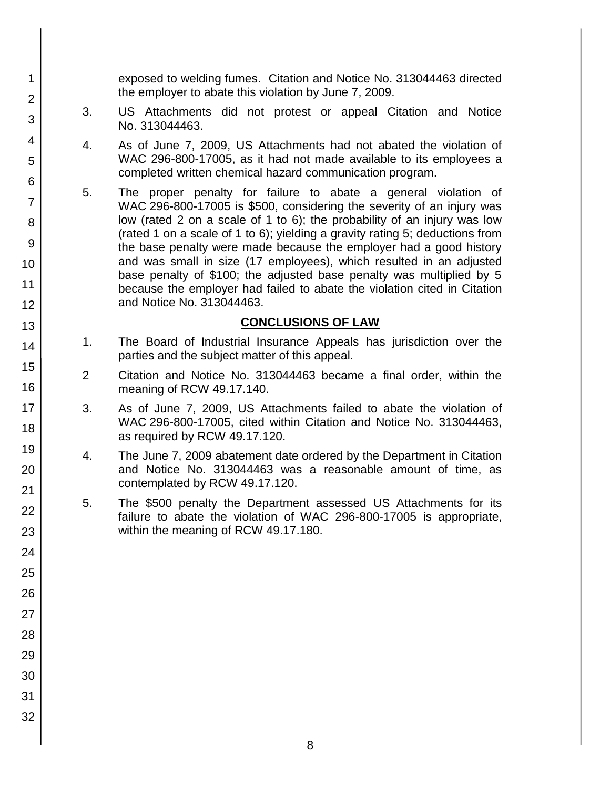exposed to welding fumes. Citation and Notice No. 313044463 directed the employer to abate this violation by June 7, 2009.

- 3. US Attachments did not protest or appeal Citation and Notice No. 313044463.
- 4. As of June 7, 2009, US Attachments had not abated the violation of WAC 296-800-17005, as it had not made available to its employees a completed written chemical hazard communication program.
- 5. The proper penalty for failure to abate a general violation of WAC 296-800-17005 is \$500, considering the severity of an injury was low (rated 2 on a scale of 1 to 6); the probability of an injury was low (rated 1 on a scale of 1 to 6); yielding a gravity rating 5; deductions from the base penalty were made because the employer had a good history and was small in size (17 employees), which resulted in an adjusted base penalty of \$100; the adjusted base penalty was multiplied by 5 because the employer had failed to abate the violation cited in Citation and Notice No. 313044463.

### **CONCLUSIONS OF LAW**

- 1. The Board of Industrial Insurance Appeals has jurisdiction over the parties and the subject matter of this appeal.
- 2 Citation and Notice No. 313044463 became a final order, within the meaning of RCW 49.17.140.
- 3. As of June 7, 2009, US Attachments failed to abate the violation of WAC 296-800-17005, cited within Citation and Notice No. 313044463, as required by RCW 49.17.120.
- 4. The June 7, 2009 abatement date ordered by the Department in Citation and Notice No. 313044463 was a reasonable amount of time, as contemplated by RCW 49.17.120.
- 5. The \$500 penalty the Department assessed US Attachments for its failure to abate the violation of WAC 296-800-17005 is appropriate, within the meaning of RCW 49.17.180.
- 1 2 3 4 5 6 7 8 9 10 11 12 13 14 15 16 17 18 19 20 21 22 23 24 25 26 27 28 29 30 31 32